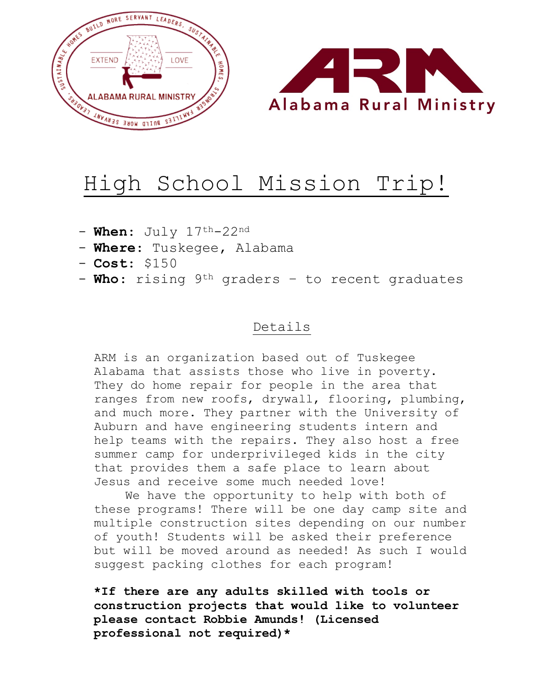

### High School Mission Trip!

- **When**: July 17<sup>th</sup>-22<sup>nd</sup>
- **Where**: Tuskegee, Alabama
- **Cost**: \$150
- **Who**: rising 9th graders to recent graduates

### Details

ARM is an organization based out of Tuskegee Alabama that assists those who live in poverty. They do home repair for people in the area that ranges from new roofs, drywall, flooring, plumbing, and much more. They partner with the University of Auburn and have engineering students intern and help teams with the repairs. They also host a free summer camp for underprivileged kids in the city that provides them a safe place to learn about Jesus and receive some much needed love!

We have the opportunity to help with both of these programs! There will be one day camp site and multiple construction sites depending on our number of youth! Students will be asked their preference but will be moved around as needed! As such I would suggest packing clothes for each program!

**\*If there are any adults skilled with tools or construction projects that would like to volunteer please contact Robbie Amunds! (Licensed professional not required)\***